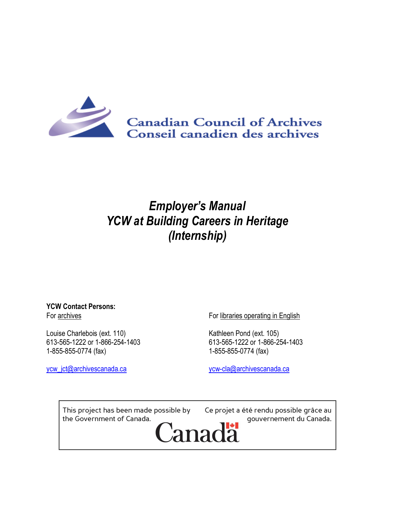

# *Employer's Manual YCW at Building Careers in Heritage (Internship)*

#### **YCW Contact Persons:** For archives

Louise Charlebois (ext. 110) 613-565-1222 or 1-866-254-1403 1-855-855-0774 (fax)

[ycw\\_jct@archivescanada.ca](mailto:ycw_jct@archivescanada.ca)

For libraries operating in English

Kathleen Pond (ext. 105) 613-565-1222 or 1-866-254-1403 1-855-855-0774 (fax)

[ycw-cla@archivescanada.ca](mailto:ycw-cla@archivescanada.ca)

This project has been made possible by the Government of Canada.

Ce projet a été rendu possible grâce au gouvernement du Canada.

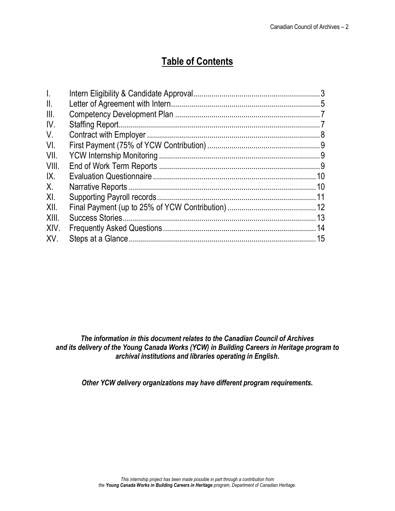## **Table of Contents**

| $\mathbf{L}$    |  |
|-----------------|--|
| $\mathbf{II}$ . |  |
| III.            |  |
| IV.             |  |
| V.              |  |
| VI.             |  |
| VII.            |  |
| VIII.           |  |
| IX.             |  |
| $X_{1}$         |  |
| XI.             |  |
| XII.            |  |
| XIII.           |  |
| XIV.            |  |
| XV.             |  |

*The information in this document relates to the Canadian Council of Archives and its delivery of the Young Canada Works (YCW) in Building Careers in Heritage program to archival institutions and libraries operating in English.*

*Other YCW delivery organizations may have different program requirements.*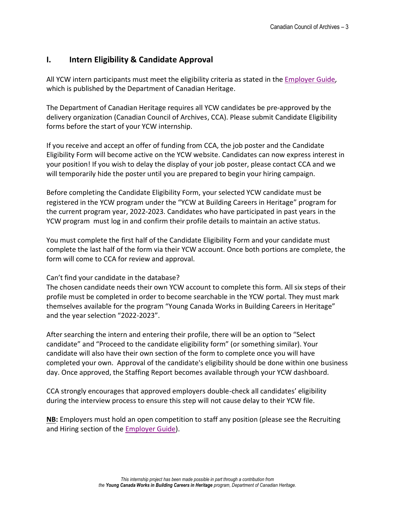### <span id="page-2-0"></span>**I. Intern Eligibility & Candidate Approval**

All YCW intern participants must meet the eligibility criteria as stated in the [Employer Guide](https://www.canada.ca/en/canadian-heritage/services/funding/young-canada-works/employers/employer-guide.html)*,*  which is published by the Department of Canadian Heritage.

The Department of Canadian Heritage requires all YCW candidates be pre-approved by the delivery organization (Canadian Council of Archives, CCA). Please submit Candidate Eligibility forms before the start of your YCW internship.

If you receive and accept an offer of funding from CCA, the job poster and the Candidate Eligibility Form will become active on the YCW website. Candidates can now express interest in your position! If you wish to delay the display of your job poster, please contact CCA and we will temporarily hide the poster until you are prepared to begin your hiring campaign.

Before completing the Candidate Eligibility Form, your selected YCW candidate must be registered in the YCW program under the "YCW at Building Careers in Heritage" program for the current program year, 2022-2023. Candidates who have participated in past years in the YCW program must log in and confirm their profile details to maintain an active status.

You must complete the first half of the Candidate Eligibility Form and your candidate must complete the last half of the form via their YCW account. Once both portions are complete, the form will come to CCA for review and approval.

#### Can't find your candidate in the database?

The chosen candidate needs their own YCW account to complete this form. All six steps of their profile must be completed in order to become searchable in the YCW portal. They must mark themselves available for the program "Young Canada Works in Building Careers in Heritage" and the year selection "2022-2023".

After searching the intern and entering their profile, there will be an option to "Select candidate" and "Proceed to the candidate eligibility form" (or something similar). Your candidate will also have their own section of the form to complete once you will have completed your own. Approval of the candidate's eligibility should be done within one business day. Once approved, the Staffing Report becomes available through your YCW dashboard.

CCA strongly encourages that approved employers double-check all candidates' eligibility during the interview process to ensure this step will not cause delay to their YCW file.

**NB:** Employers must hold an open competition to staff any position (please see the Recruiting and Hiring section of the **Employer Guide**).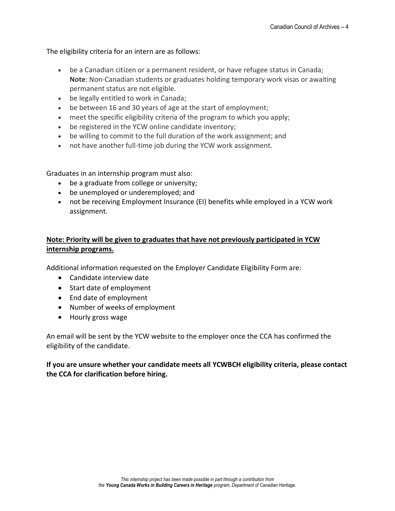The eligibility criteria for an intern are as follows:

- be a Canadian citizen or a permanent resident, or have refugee status in Canada; **Note**: Non-Canadian students or graduates holding temporary work visas or awaiting permanent status are not eligible.
- be legally entitled to work in Canada;
- be between 16 and 30 years of age at the start of employment;
- meet the specific eligibility criteria of the program to which you apply;
- be registered in the YCW online candidate inventory;
- be willing to commit to the full duration of the work assignment; and
- not have another full-time job during the YCW work assignment.

Graduates in an internship program must also:

- be a graduate from college or university;
- be unemployed or underemployed; and
- not be receiving Employment Insurance (EI) benefits while employed in a YCW work assignment.

### **Note: Priority will be given to graduates that have not previously participated in YCW internship programs.**

Additional information requested on the Employer Candidate Eligibility Form are:

- Candidate interview date
- Start date of employment
- End date of employment
- Number of weeks of employment
- Hourly gross wage

An email will be sent by the YCW website to the employer once the CCA has confirmed the eligibility of the candidate.

#### **If you are unsure whether your candidate meets all YCWBCH eligibility criteria, please contact the CCA for clarification before hiring.**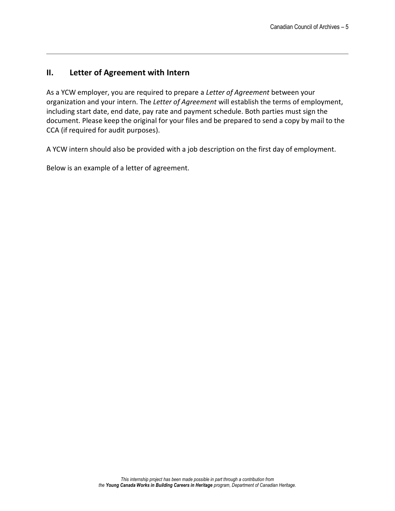### <span id="page-4-0"></span>**II. Letter of Agreement with Intern**

As a YCW employer, you are required to prepare a *Letter of Agreement* between your organization and your intern. The *Letter of Agreement* will establish the terms of employment, including start date, end date, pay rate and payment schedule. Both parties must sign the document. Please keep the original for your files and be prepared to send a copy by mail to the CCA (if required for audit purposes).

A YCW intern should also be provided with a job description on the first day of employment.

Below is an example of a letter of agreement.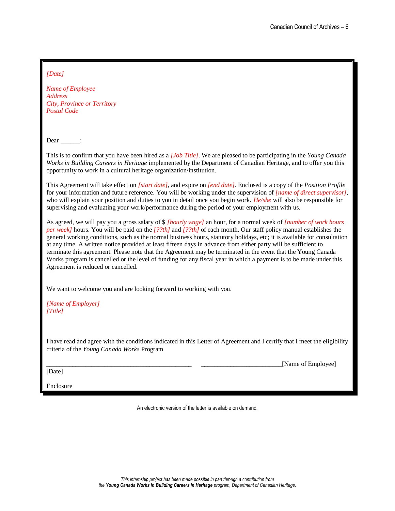#### *[Date]*

*Name of Employee Address City, Province or Territory Postal Code*

Dear \_\_\_\_\_\_\_:

This is to confirm that you have been hired as a *[Job Title]*. We are pleased to be participating in the *Young Canada Works in Building Careers in Heritage* implemented by the Department of Canadian Heritage, and to offer you this opportunity to work in a cultural heritage organization/institution.

This Agreement will take effect on *[start date]*, and expire on *[end date]*. Enclosed is a copy of the *Position Profile* for your information and future reference. You will be working under the supervision of *[name of direct supervisor]*, who will explain your position and duties to you in detail once you begin work. *He/she* will also be responsible for supervising and evaluating your work/performance during the period of your employment with us.

As agreed, we will pay you a gross salary of \$ *[hourly wage]* an hour, for a normal week of *[number of work hours per week]* hours. You will be paid on the *[??th]* and *[??th]* of each month. Our staff policy manual establishes the general working conditions, such as the normal business hours, statutory holidays, etc; it is available for consultation at any time. A written notice provided at least fifteen days in advance from either party will be sufficient to terminate this agreement. Please note that the Agreement may be terminated in the event that the Young Canada Works program is cancelled or the level of funding for any fiscal year in which a payment is to be made under this Agreement is reduced or cancelled.

We want to welcome you and are looking forward to working with you.

*[Name of Employer] [Title]*

I have read and agree with the conditions indicated in this Letter of Agreement and I certify that I meet the eligibility criteria of the *Young Canada Works* Program

[Name of Employee]

[Date]

Enclosure

An electronic version of the letter is available on demand.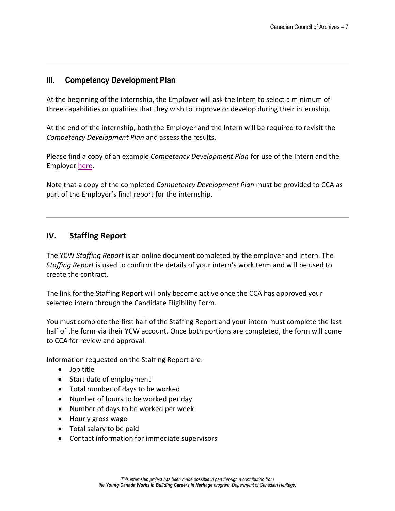### <span id="page-6-0"></span>**III. Competency Development Plan**

At the beginning of the internship, the Employer will ask the Intern to select a minimum of three capabilities or qualities that they wish to improve or develop during their internship.

At the end of the internship, both the Employer and the Intern will be required to revisit the *Competency Development Plan* and assess the results.

Please find a copy of an example *Competency Development Plan* for use of the Intern and the Employer [here.](http://archivescanada.ca/YCW#DocumentsEN)

Note that a copy of the completed *Competency Development Plan* must be provided to CCA as part of the Employer's final report for the internship.

### <span id="page-6-1"></span>**IV. Staffing Report**

The YCW *Staffing Report* is an online document completed by the employer and intern. The *Staffing Report* is used to confirm the details of your intern's work term and will be used to create the contract.

The link for the Staffing Report will only become active once the CCA has approved your selected intern through the Candidate Eligibility Form.

You must complete the first half of the Staffing Report and your intern must complete the last half of the form via their YCW account. Once both portions are completed, the form will come to CCA for review and approval.

Information requested on the Staffing Report are:

- Job title
- Start date of employment
- Total number of days to be worked
- Number of hours to be worked per day
- Number of days to be worked per week
- Hourly gross wage
- Total salary to be paid
- Contact information for immediate supervisors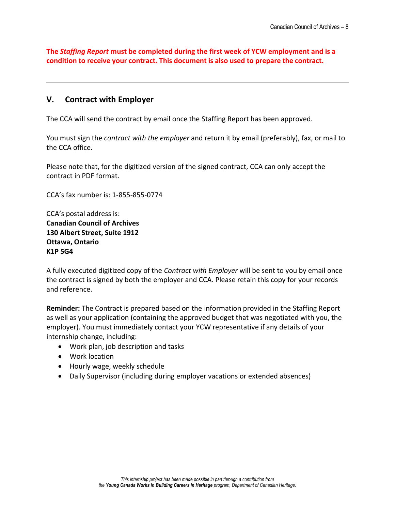**The** *Staffing Report* **must be completed during the first week of YCW employment and is a condition to receive your contract. This document is also used to prepare the contract.**

### <span id="page-7-0"></span>**V. Contract with Employer**

The CCA will send the contract by email once the Staffing Report has been approved.

You must sign the *contract with the employer* and return it by email (preferably), fax, or mail to the CCA office.

Please note that, for the digitized version of the signed contract, CCA can only accept the contract in PDF format.

CCA's fax number is: 1-855-855-0774

CCA's postal address is: **Canadian Council of Archives 130 Albert Street, Suite 1912 Ottawa, Ontario K1P 5G4**

A fully executed digitized copy of the *Contract with Employer* will be sent to you by email once the contract is signed by both the employer and CCA. Please retain this copy for your records and reference.

**Reminder:** The Contract is prepared based on the information provided in the Staffing Report as well as your application (containing the approved budget that was negotiated with you, the employer). You must immediately contact your YCW representative if any details of your internship change, including:

- Work plan, job description and tasks
- Work location
- Hourly wage, weekly schedule
- Daily Supervisor (including during employer vacations or extended absences)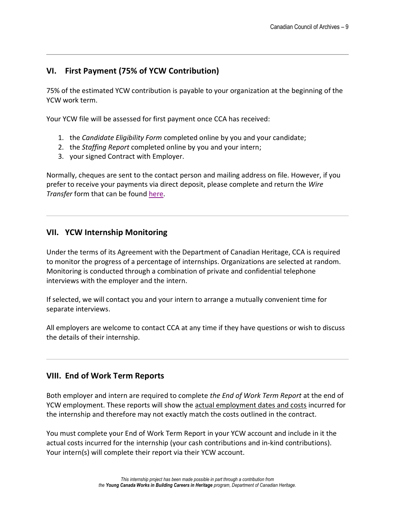### <span id="page-8-0"></span>**VI. First Payment (75% of YCW Contribution)**

75% of the estimated YCW contribution is payable to your organization at the beginning of the YCW work term.

Your YCW file will be assessed for first payment once CCA has received:

- 1. the *Candidate Eligibility Form* completed online by you and your candidate;
- 2. the *Staffing Report* completed online by you and your intern;
- 3. your signed Contract with Employer.

Normally, cheques are sent to the contact person and mailing address on file. However, if you prefer to receive your payments via direct deposit, please complete and return the *Wire Transfer* form that can be found [here.](http://archivescanada.ca/YCW#DocumentsEN)

### <span id="page-8-1"></span>**VII. YCW Internship Monitoring**

Under the terms of its Agreement with the Department of Canadian Heritage, CCA is required to monitor the progress of a percentage of internships. Organizations are selected at random. Monitoring is conducted through a combination of private and confidential telephone interviews with the employer and the intern.

If selected, we will contact you and your intern to arrange a mutually convenient time for separate interviews.

All employers are welcome to contact CCA at any time if they have questions or wish to discuss the details of their internship.

### <span id="page-8-2"></span>**VIII. End of Work Term Reports**

Both employer and intern are required to complete *the End of Work Term Report* at the end of YCW employment. These reports will show the actual employment dates and costs incurred for the internship and therefore may not exactly match the costs outlined in the contract.

You must complete your End of Work Term Report in your YCW account and include in it the actual costs incurred for the internship (your cash contributions and in-kind contributions). Your intern(s) will complete their report via their YCW account.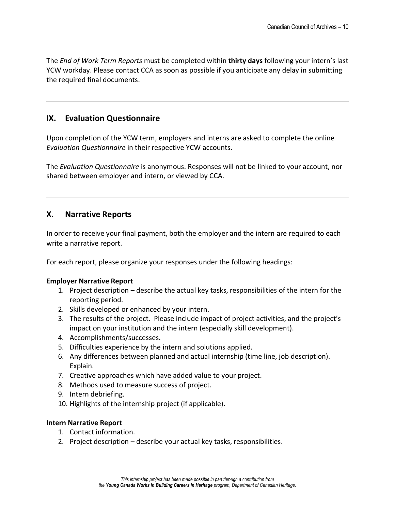The *End of Work Term Reports* must be completed within **thirty days** following your intern's last YCW workday. Please contact CCA as soon as possible if you anticipate any delay in submitting the required final documents.

#### <span id="page-9-0"></span>**IX. Evaluation Questionnaire**

Upon completion of the YCW term, employers and interns are asked to complete the online *Evaluation Questionnaire* in their respective YCW accounts.

The *Evaluation Questionnaire* is anonymous. Responses will not be linked to your account, nor shared between employer and intern, or viewed by CCA.

### <span id="page-9-1"></span>**X. Narrative Reports**

In order to receive your final payment, both the employer and the intern are required to each write a narrative report.

For each report, please organize your responses under the following headings:

#### **Employer Narrative Report**

- 1. Project description describe the actual key tasks, responsibilities of the intern for the reporting period.
- 2. Skills developed or enhanced by your intern.
- 3. The results of the project. Please include impact of project activities, and the project's impact on your institution and the intern (especially skill development).
- 4. Accomplishments/successes.
- 5. Difficulties experience by the intern and solutions applied.
- 6. Any differences between planned and actual internship (time line, job description). Explain.
- 7. Creative approaches which have added value to your project.
- 8. Methods used to measure success of project.
- 9. Intern debriefing.
- 10. Highlights of the internship project (if applicable).

#### **Intern Narrative Report**

- 1. Contact information.
- 2. Project description describe your actual key tasks, responsibilities.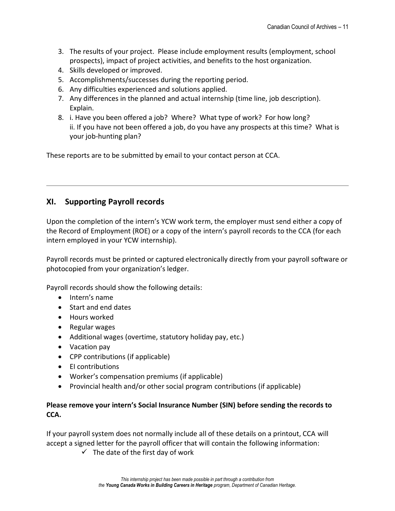- 3. The results of your project. Please include employment results (employment, school prospects), impact of project activities, and benefits to the host organization.
- 4. Skills developed or improved.
- 5. Accomplishments/successes during the reporting period.
- 6. Any difficulties experienced and solutions applied.
- 7. Any differences in the planned and actual internship (time line, job description). Explain.
- 8. i. Have you been offered a job? Where? What type of work? For how long? ii. If you have not been offered a job, do you have any prospects at this time? What is your job-hunting plan?

These reports are to be submitted by email to your contact person at CCA.

### <span id="page-10-0"></span>**XI. Supporting Payroll records**

Upon the completion of the intern's YCW work term, the employer must send either a copy of the Record of Employment (ROE) or a copy of the intern's payroll records to the CCA (for each intern employed in your YCW internship).

Payroll records must be printed or captured electronically directly from your payroll software or photocopied from your organization's ledger.

Payroll records should show the following details:

- Intern's name
- Start and end dates
- Hours worked
- Regular wages
- Additional wages (overtime, statutory holiday pay, etc.)
- Vacation pay
- CPP contributions (if applicable)
- El contributions
- Worker's compensation premiums (if applicable)
- Provincial health and/or other social program contributions (if applicable)

#### **Please remove your intern's Social Insurance Number (SIN) before sending the records to CCA.**

If your payroll system does not normally include all of these details on a printout, CCA will accept a signed letter for the payroll officer that will contain the following information:

 $\checkmark$  The date of the first day of work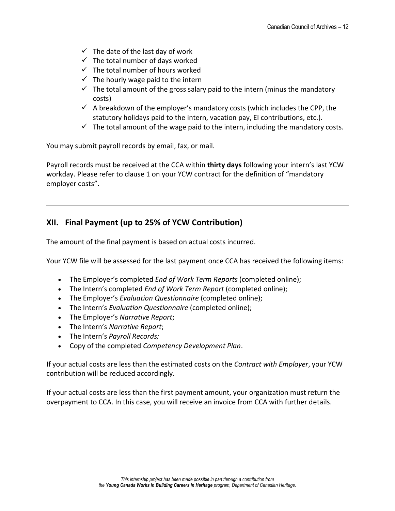- $\checkmark$  The date of the last day of work
- $\checkmark$  The total number of days worked
- $\checkmark$  The total number of hours worked
- $\checkmark$  The hourly wage paid to the intern
- $\checkmark$  The total amount of the gross salary paid to the intern (minus the mandatory costs)
- $\checkmark$  A breakdown of the employer's mandatory costs (which includes the CPP, the statutory holidays paid to the intern, vacation pay, EI contributions, etc.).
- $\checkmark$  The total amount of the wage paid to the intern, including the mandatory costs.

You may submit payroll records by email, fax, or mail.

Payroll records must be received at the CCA within **thirty days** following your intern's last YCW workday. Please refer to clause 1 on your YCW contract for the definition of "mandatory employer costs".

### <span id="page-11-0"></span>**XII. Final Payment (up to 25% of YCW Contribution)**

The amount of the final payment is based on actual costs incurred.

Your YCW file will be assessed for the last payment once CCA has received the following items:

- The Employer's completed *End of Work Term Reports* (completed online);
- The Intern's completed *End of Work Term Report* (completed online);
- The Employer's *Evaluation Questionnaire* (completed online);
- The Intern's *Evaluation Questionnaire* (completed online);
- The Employer's *Narrative Report*;
- The Intern's *Narrative Report*;
- The Intern's *Payroll Records;*
- Copy of the completed *Competency Development Plan*.

If your actual costs are less than the estimated costs on the *Contract with Employer*, your YCW contribution will be reduced accordingly.

If your actual costs are less than the first payment amount, your organization must return the overpayment to CCA. In this case, you will receive an invoice from CCA with further details.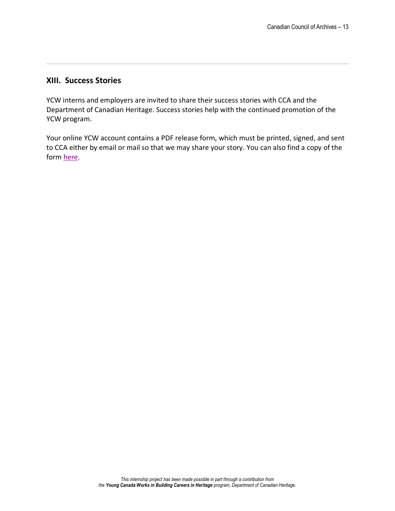#### <span id="page-12-0"></span>**XIII. Success Stories**

YCW interns and employers are invited to share their success stories with CCA and the Department of Canadian Heritage. Success stories help with the continued promotion of the YCW program.

Your online YCW account contains a PDF release form, which must be printed, signed, and sent to CCA either by email or mail so that we may share your story. You can also find a copy of the form [here.](http://archivescanada.ca/YCW#DocumentsEN)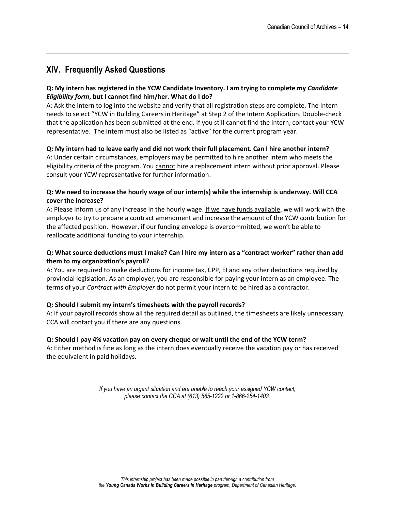### <span id="page-13-0"></span>**XIV. Frequently Asked Questions**

#### **Q: My intern has registered in the YCW Candidate Inventory. I am trying to complete my** *Candidate Eligibility form***, but I cannot find him/her. What do I do?**

A: Ask the intern to log into the website and verify that all registration steps are complete. The intern needs to select "YCW in Building Careers in Heritage" at Step 2 of the Intern Application. Double-check that the application has been submitted at the end. If you still cannot find the intern, contact your YCW representative. The intern must also be listed as "active" for the current program year.

#### **Q: My intern had to leave early and did not work their full placement. Can I hire another intern?**

A: Under certain circumstances, employers may be permitted to hire another intern who meets the eligibility criteria of the program. You cannot hire a replacement intern without prior approval. Please consult your YCW representative for further information.

#### **Q: We need to increase the hourly wage of our intern(s) while the internship is underway. Will CCA cover the increase?**

A: Please inform us of any increase in the hourly wage. If we have funds available, we will work with the employer to try to prepare a contract amendment and increase the amount of the YCW contribution for the affected position. However, if our funding envelope is overcommitted, we won't be able to reallocate additional funding to your internship.

#### **Q: What source deductions must I make? Can I hire my intern as a "contract worker" rather than add them to my organization's payroll?**

A: You are required to make deductions for income tax, CPP, EI and any other deductions required by provincial legislation. As an employer, you are responsible for paying your intern as an employee. The terms of your *Contract with Employer* do not permit your intern to be hired as a contractor.

#### **Q: Should I submit my intern's timesheets with the payroll records?**

A: If your payroll records show all the required detail as outlined, the timesheets are likely unnecessary. CCA will contact you if there are any questions.

#### **Q: Should I pay 4% vacation pay on every cheque or wait until the end of the YCW term?**

A: Either method is fine as long as the intern does eventually receive the vacation pay or has received the equivalent in paid holidays.

> *If you have an urgent situation and are unable to reach your assigned YCW contact, please contact the CCA at (613) 565-1222 or 1-866-254-1403.*